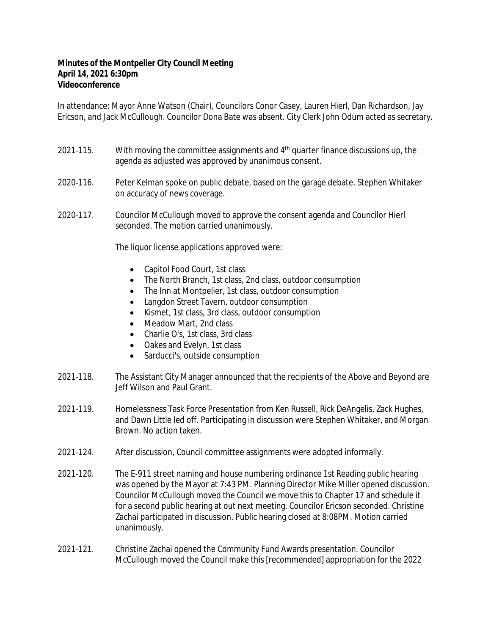## **Minutes of the Montpelier City Council Meeting April 14, 2021 6:30pm Videoconference**

In attendance: Mayor Anne Watson (Chair), Councilors Conor Casey, Lauren Hierl, Dan Richardson, Jay Ericson, and Jack McCullough. Councilor Dona Bate was absent. City Clerk John Odum acted as secretary.

- 2021-115. With moving the committee assignments and  $4<sup>th</sup>$  quarter finance discussions up, the agenda as adjusted was approved by unanimous consent.
- 2020‐116. Peter Kelman spoke on public debate, based on the garage debate. Stephen Whitaker on accuracy of news coverage.
- 2020‐117. Councilor McCullough moved to approve the consent agenda and Councilor Hierl seconded. The motion carried unanimously.

The liquor license applications approved were:

- Capitol Food Court, 1st class
- The North Branch, 1st class, 2nd class, outdoor consumption
- The Inn at Montpelier, 1st class, outdoor consumption
- Langdon Street Tavern, outdoor consumption
- Kismet, 1st class, 3rd class, outdoor consumption
- Meadow Mart, 2nd class
- Charlie O's, 1st class, 3rd class
- Oakes and Evelyn, 1st class
- Sarducci's, outside consumption
- 2021‐118. The Assistant City Manager announced that the recipients of the Above and Beyond are Jeff Wilson and Paul Grant.
- 2021‐119. Homelessness Task Force Presentation from Ken Russell, Rick DeAngelis, Zack Hughes, and Dawn Little led off. Participating in discussion were Stephen Whitaker, and Morgan Brown. No action taken.
- 2021‐124. After discussion, Council committee assignments were adopted informally.
- 2021‐120. The E‐911 street naming and house numbering ordinance 1st Reading public hearing was opened by the Mayor at 7:43 PM. Planning Director Mike Miller opened discussion. Councilor McCullough moved the Council we move this to Chapter 17 and schedule it for a second public hearing at out next meeting. Councilor Ericson seconded. Christine Zachai participated in discussion. Public hearing closed at 8:08PM. Motion carried unanimously.
- 2021‐121. Christine Zachai opened the Community Fund Awards presentation. Councilor McCullough moved the Council make this [recommended] appropriation for the 2022